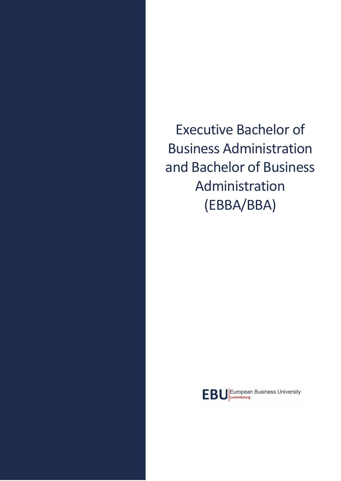Executive Bachelor of Business Administration and Bachelor of Business Administration (EBBA/BBA)

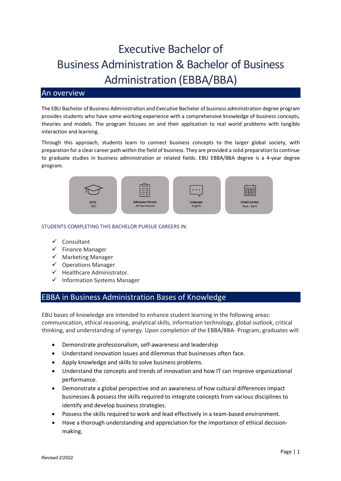# Executive Bachelor of Business Administration & Bachelor of Business Administration (EBBA/BBA)

## An overview

The EBU Bachelor of Business Administration and *Executive* Bachelor of business administration degree program provides students who have some working experience with a comprehensive knowledge of business concepts, theories and models. The program focuses on and their application to real world problems with tangible interaction and learning.

Through this approach, students learn to connect business concepts to the larger global society, with preparation for a clear career path within the field of business. They are provided a solid preparation to continue to graduate studies in business administration or related fields. EBU EBBA/BBA degree is a 4-year degree program.



#### STUDENTS COMPLETING THIS BACHELOR PURSUE CAREERS IN:

- $\checkmark$  Consultant
- $\checkmark$  Finance Manager
- $\checkmark$  Marketing Manager
- $\checkmark$  Operations Manager
- $\checkmark$  Healthcare Administrator.
- $\checkmark$  Information Systems Manager

### EBBA in Business Administration Bases of Knowledge

EBU bases of knowledge are intended to enhance student learning in the following areas: communication, ethical reasoning, analytical skills, information technology, global outlook, critical thinking, and understanding of synergy. Upon completion of the EBBA/BBA- Program, graduates will:

- Demonstrate professionalism, self-awareness and leadership
- Understand innovation issues and dilemmas that businesses often face.
- Apply knowledge and skills to solve business problems.
- Understand the concepts and trends of innovation and how IT can improve organizational performance.
- Demonstrate a global perspective and an awareness of how cultural differences impact businesses & possess the skills required to integrate concepts from various disciplines to identify and develop business strategies.
- Possess the skills required to work and lead effectively in a team-based environment.
- Have a thorough understanding and appreciation for the importance of ethical decisionmaking.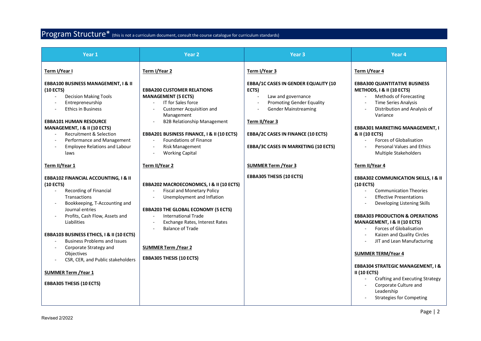# Program Structure\* (this is not a curriculum document, consult the course catalogue for curriculum standards)

| Year <sub>1</sub>                                                                                                                                                                                                                                                                                                                                                                                                                                                   | Year <sub>2</sub>                                                                                                                                                                                                                                                                                                                           | Year <sub>3</sub>                                                                                                                                                                                                                                                            | Year <sub>4</sub>                                                                                                                                                                                                                                                                                                                                                                                                                                                                                                                                                                     |
|---------------------------------------------------------------------------------------------------------------------------------------------------------------------------------------------------------------------------------------------------------------------------------------------------------------------------------------------------------------------------------------------------------------------------------------------------------------------|---------------------------------------------------------------------------------------------------------------------------------------------------------------------------------------------------------------------------------------------------------------------------------------------------------------------------------------------|------------------------------------------------------------------------------------------------------------------------------------------------------------------------------------------------------------------------------------------------------------------------------|---------------------------------------------------------------------------------------------------------------------------------------------------------------------------------------------------------------------------------------------------------------------------------------------------------------------------------------------------------------------------------------------------------------------------------------------------------------------------------------------------------------------------------------------------------------------------------------|
| Term I/Year I<br><b>EBBA100 BUSINESS MANAGEMENT, I &amp; II</b><br>(10 ECTS)<br><b>Decision Making Tools</b><br>Entrepreneurship<br><b>Ethics in Business</b><br><b>EBBA101 HUMAN RESOURCE</b><br>MANAGEMENT, I & II (10 ECTS)<br><b>Recruitment &amp; Selection</b><br>Performance and Management<br><b>Employee Relations and Labour</b><br>laws                                                                                                                  | Term I/Year 2<br><b>EBBA200 CUSTOMER RELATIONS</b><br><b>MANAGEMENT (5 ECTS)</b><br><b>IT for Sales force</b><br>Customer Acquisition and<br>Management<br><b>B2B Relationship Management</b><br>EBBA201 BUSINESS FINANCE, I & II (10 ECTS)<br>Foundations of Finance<br>$\overline{a}$<br><b>Risk Management</b><br><b>Working Capital</b> | Term I/Year 3<br><b>EBBA/1C CASES IN GENDER EQUALITY (10</b><br>ECTS)<br>Law and governance<br><b>Promoting Gender Equality</b><br><b>Gender Mainstreaming</b><br>Term II/Year 3<br><b>EBBA/2C CASES IN FINANCE (10 ECTS)</b><br><b>EBBA/3C CASES IN MARKETING (10 ECTS)</b> | Term I/Year 4<br><b>EBBA300 QUANTITATIVE BUSINESS</b><br>METHODS, I & II (10 ECTS)<br>Methods of Forecasting<br><b>Time Series Analysis</b><br>Distribution and Analysis of<br>Variance<br><b>EBBA301 MARKETING MANAGEMENT, I</b><br>& II (10 ECTS)<br>Forces of Globalisation<br>Personal Values and Ethics<br>Multiple Stakeholders                                                                                                                                                                                                                                                 |
| Term II/Year 1                                                                                                                                                                                                                                                                                                                                                                                                                                                      | Term II/Year 2                                                                                                                                                                                                                                                                                                                              | <b>SUMMER Term / Year 3</b>                                                                                                                                                                                                                                                  | Term II/Year 4                                                                                                                                                                                                                                                                                                                                                                                                                                                                                                                                                                        |
| <b>EBBA102 FINANCIAL ACCOUNTING, I &amp; II</b><br>(10 ECTS)<br>Recording of Financial<br>$\sim$<br>Transactions<br>Bookkeeping, T-Accounting and<br>Journal entries<br>Profits, Cash Flow, Assets and<br>Liabilities<br><b>EBBA103 BUSINESS ETHICS, I &amp; II (10 ECTS)</b><br><b>Business Problems and Issues</b><br>Corporate Strategy and<br>Objectives<br>CSR, CER, and Public stakeholders<br><b>SUMMER Term / Year 1</b><br><b>EBBA305 THESIS (10 ECTS)</b> | EBBA202 MACROECONOMICS, I & II (10 ECTS)<br><b>Fiscal and Monetary Policy</b><br>Unemployment and Inflation<br>$\overline{a}$<br><b>EBBA203 THE GLOBAL ECONOMY (5 ECTS)</b><br><b>International Trade</b><br>Exchange Rates, Interest Rates<br><b>Balance of Trade</b><br><b>SUMMER Term / Year 2</b><br><b>EBBA305 THESIS (10 ECTS)</b>    | <b>EBBA305 THESIS (10 ECTS)</b>                                                                                                                                                                                                                                              | <b>EBBA302 COMMUNICATION SKILLS, I &amp; II</b><br>(10 ECTS)<br><b>Communication Theories</b><br>$\mathbf{r}$<br><b>Effective Presentations</b><br>$\sim$<br>Developing Listening Skills<br><b>EBBA303 PRODUCTION &amp; OPERATIONS</b><br>MANAGEMENT, I & II (10 ECTS)<br>Forces of Globalisation<br>Kaizen and Quality Circles<br>JIT and Lean Manufacturing<br><b>SUMMER TERM/Year 4</b><br><b>EBBA304 STRATEGIC MANAGEMENT, I &amp;</b><br><b>II (10 ECTS)</b><br><b>Crafting and Executing Strategy</b><br>Corporate Culture and<br>Leadership<br><b>Strategies for Competing</b> |